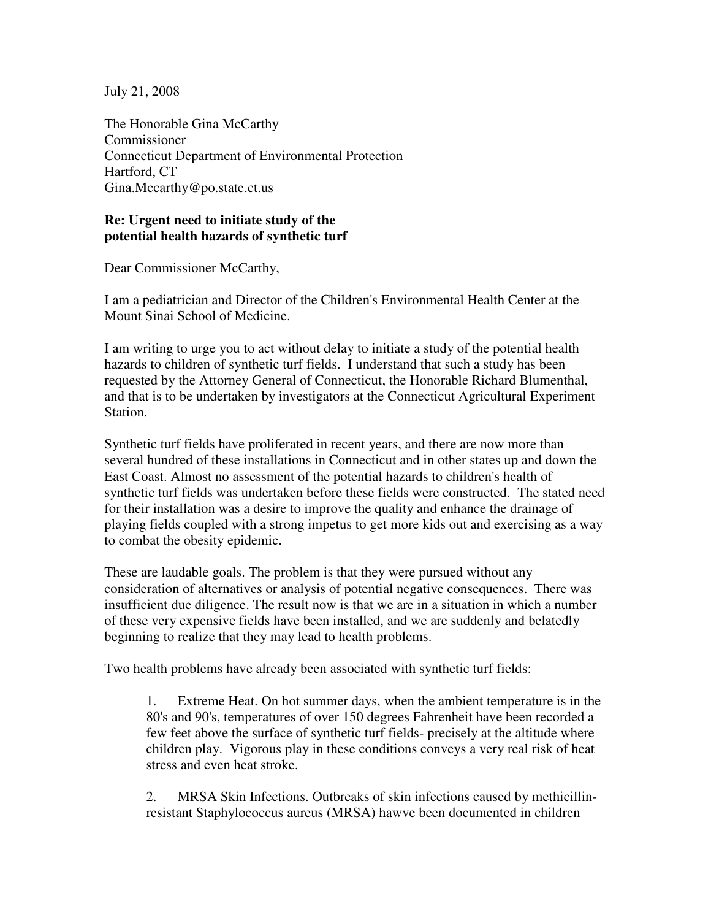July 21, 2008

The Honorable Gina McCarthy Commissioner Connecticut Department of Environmental Protection Hartford, CT Gina.Mccarthy@po.state.ct.us

## **Re: Urgent need to initiate study of the potential health hazards of synthetic turf**

Dear Commissioner McCarthy,

I am a pediatrician and Director of the Children's Environmental Health Center at the Mount Sinai School of Medicine.

I am writing to urge you to act without delay to initiate a study of the potential health hazards to children of synthetic turf fields. I understand that such a study has been requested by the Attorney General of Connecticut, the Honorable Richard Blumenthal, and that is to be undertaken by investigators at the Connecticut Agricultural Experiment Station.

Synthetic turf fields have proliferated in recent years, and there are now more than several hundred of these installations in Connecticut and in other states up and down the East Coast. Almost no assessment of the potential hazards to children's health of synthetic turf fields was undertaken before these fields were constructed. The stated need for their installation was a desire to improve the quality and enhance the drainage of playing fields coupled with a strong impetus to get more kids out and exercising as a way to combat the obesity epidemic.

These are laudable goals. The problem is that they were pursued without any consideration of alternatives or analysis of potential negative consequences. There was insufficient due diligence. The result now is that we are in a situation in which a number of these very expensive fields have been installed, and we are suddenly and belatedly beginning to realize that they may lead to health problems.

Two health problems have already been associated with synthetic turf fields:

1. Extreme Heat. On hot summer days, when the ambient temperature is in the 80's and 90's, temperatures of over 150 degrees Fahrenheit have been recorded a few feet above the surface of synthetic turf fields- precisely at the altitude where children play. Vigorous play in these conditions conveys a very real risk of heat stress and even heat stroke.

2. MRSA Skin Infections. Outbreaks of skin infections caused by methicillinresistant Staphylococcus aureus (MRSA) hawve been documented in children